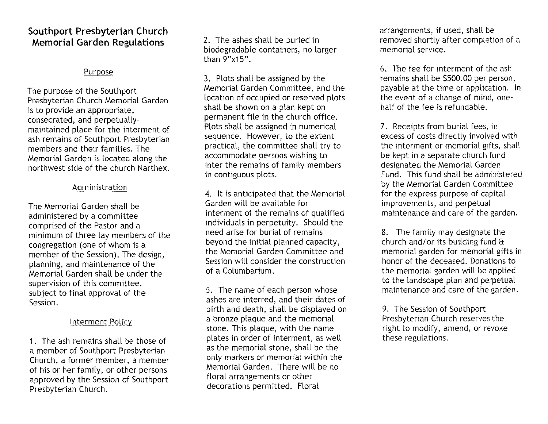### **Southport Presbyterian Church Memorial Garden Regulations** 2. The ashes shall be buried in

### Purpose

The purpose of the Southport Presbyterian Church Memorial Garden is to provide an appropriate, consecrated, and perpetuallymaintained place for the interment of ash remains of Southport Presbyterian members and their families. The Memorial Garden is located along the northwest side of the church Narthex.

#### Administration

The Memorial Garden shall be administered by a committee comprised of the Pastor and a minimum of three lay members of the congregation (one of whom is a member of the Session). The design, planning, and maintenance of the Memorial Garden shall be under the supervision of this committee, subject to final approval of the Session.

#### Interment Policy

1. The ash remains shall be those of a member of Southport Presbyterian Church, a former member, a member of his or her family, or other persons approved by the Session of Southport Presbyterian Church.

biodegradable containers, no larger than 9"x15".

3. Plots shall be assigned by the Memorial Garden Committee, and the location of occupied or reserved plots shall be shown on a plan kept on permanent file in the church office. Plots shall be assigned in numerical sequence. However, to the extent practical, the committee shall try to accommodate persons wishing to inter the remains of family members in contiguous plots.

4. It is anticipated that the Memorial Garden will be available for interment of the remains of qualified individuals in perpetuity. Should the need arise for burial of remains beyond the initial planned capacity, the Memorial Garden Committee and Session will consider the construction of a Columbarium.

5. The name of each person whose ashes are interred, and their dates of birth and death, shall be displayed on a bronze plaque and the memorial stone. This plaque, with the name plates in order of interment, as well as the memorial stone, shall be the only markers or memorial within the Memorial Garden. There will be no floral arrangements or other decorations permitted. Floral

arrangements, if used, shall be removed shortly after completion of a memorial service.

6. The fee for interment of the ash remains shall be \$500.00 per person, payable at the time of application. In the event of a change of mind, onehalf of the fee is refundable.

7. Receipts from burial fees, in excess of costs directly involved with the interment or memorial gifts, shall be kept in a separate church fund designated the Memorial Garden Fund. This fund shall be administered by the Memorial Garden Committee for the express purpose of capital improvements, and perpetual maintenance and care of the garden.

8. The family may designate the church and/ or its building fund  $\theta$ memorial garden for memorial gifts in honor of the deceased. Donations to the memorial garden will be applied to the landscape plan and perpetual maintenance and care of the garden.

9. The Session of Southport Presbyterian Church reserves the right to modify, amend, or revoke these regulations.